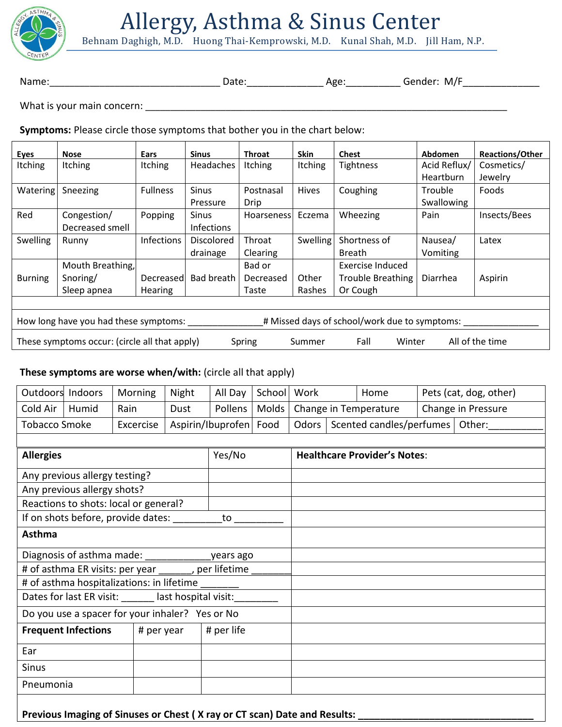

# Allergy, Asthma & Sinus Center

Behnam Daghigh, M.D. Huong Thai-Kemprowski, M.D. Kunal Shah, M.D. Jill Ham, N.P.

Name:\_\_\_\_\_\_\_\_\_\_\_\_\_\_\_\_\_\_\_\_\_\_\_\_\_\_\_\_\_\_\_\_\_\_ Date:\_\_\_\_\_\_\_\_\_\_\_\_\_\_ Age:\_\_\_\_\_\_\_\_\_\_ Gender: M/F\_\_\_\_\_\_\_\_\_\_\_\_\_\_

What is your main concern: \_\_\_\_\_\_\_\_\_\_\_\_\_\_\_\_\_\_\_\_\_\_\_\_\_\_\_\_\_\_\_\_\_\_\_\_\_\_\_\_\_\_\_\_\_\_\_\_\_\_\_\_\_\_\_\_\_\_\_\_\_\_\_\_\_\_\_\_\_\_\_\_

**Symptoms:** Please circle those symptoms that bother you in the chart below:

| Eyes                                                                                                   | <b>Nose</b>      | <b>Ears</b>     | <b>Sinus</b>      | <b>Throat</b>  | <b>Skin</b>    | <b>Chest</b>             | Abdomen      | <b>Reactions/Other</b> |
|--------------------------------------------------------------------------------------------------------|------------------|-----------------|-------------------|----------------|----------------|--------------------------|--------------|------------------------|
| <b>Itching</b>                                                                                         | Itching          | <b>Itching</b>  | Headaches         | <b>Itching</b> | <b>Itching</b> | <b>Tightness</b>         | Acid Reflux/ | Cosmetics/             |
|                                                                                                        |                  |                 |                   |                |                |                          | Heartburn    | Jewelry                |
| Watering                                                                                               | Sneezing         | <b>Fullness</b> | <b>Sinus</b>      | Postnasal      | Hives          | Coughing                 | Trouble      | Foods                  |
|                                                                                                        |                  |                 | Pressure          | <b>Drip</b>    |                |                          | Swallowing   |                        |
| Red                                                                                                    | Congestion/      | Popping         | <b>Sinus</b>      | Hoarseness     | Eczema         | Wheezing                 | Pain         | Insects/Bees           |
|                                                                                                        | Decreased smell  |                 | <b>Infections</b> |                |                |                          |              |                        |
| <b>Swelling</b>                                                                                        | Runny            | Infections      | Discolored        | Throat         | Swelling       | Shortness of             | Nausea/      | Latex                  |
|                                                                                                        |                  |                 | drainage          | Clearing       |                | <b>Breath</b>            | Vomiting     |                        |
|                                                                                                        | Mouth Breathing, |                 |                   | Bad or         |                | Exercise Induced         |              |                        |
| <b>Burning</b>                                                                                         | Snoring/         | Decreased       | <b>Bad breath</b> | Decreased      | Other          | <b>Trouble Breathing</b> | Diarrhea     | Aspirin                |
|                                                                                                        | Sleep apnea      | <b>Hearing</b>  |                   | Taste          | Rashes         | Or Cough                 |              |                        |
|                                                                                                        |                  |                 |                   |                |                |                          |              |                        |
| # Missed days of school/work due to symptoms:<br>How long have you had these symptoms:                 |                  |                 |                   |                |                |                          |              |                        |
| These symptoms occur: (circle all that apply)<br>All of the time<br>Fall<br>Winter<br>Spring<br>Summer |                  |                 |                   |                |                |                          |              |                        |

# **These symptoms are worse when/with:** (circle all that apply)

| Outdoors Indoors                  |                                                                           | Morning                                                       | Night                  | All Day         | School   Work                             |                                     |                               | Home |  | Pets (cat, dog, other) |  |
|-----------------------------------|---------------------------------------------------------------------------|---------------------------------------------------------------|------------------------|-----------------|-------------------------------------------|-------------------------------------|-------------------------------|------|--|------------------------|--|
| Cold Air                          | Humid                                                                     | Rain                                                          | Dust                   | Pollens         |                                           |                                     | Molds   Change in Temperature |      |  | Change in Pressure     |  |
| <b>Tobacco Smoke</b><br>Excercise |                                                                           |                                                               | Aspirin/Ibuprofen Food |                 | Odors   Scented candles/perfumes   Other: |                                     |                               |      |  |                        |  |
|                                   |                                                                           |                                                               |                        |                 |                                           |                                     |                               |      |  |                        |  |
| <b>Allergies</b>                  |                                                                           |                                                               |                        | Yes/No          |                                           | <b>Healthcare Provider's Notes:</b> |                               |      |  |                        |  |
|                                   | Any previous allergy testing?                                             |                                                               |                        |                 |                                           |                                     |                               |      |  |                        |  |
|                                   | Any previous allergy shots?                                               |                                                               |                        |                 |                                           |                                     |                               |      |  |                        |  |
|                                   |                                                                           | Reactions to shots: local or general?                         |                        |                 |                                           |                                     |                               |      |  |                        |  |
|                                   |                                                                           | If on shots before, provide dates: ________                   |                        | $\overline{10}$ |                                           |                                     |                               |      |  |                        |  |
| <b>Asthma</b>                     |                                                                           |                                                               |                        |                 |                                           |                                     |                               |      |  |                        |  |
|                                   |                                                                           |                                                               |                        |                 |                                           |                                     |                               |      |  |                        |  |
|                                   |                                                                           | # of asthma ER visits: per year ______, per lifetime ____     |                        |                 |                                           |                                     |                               |      |  |                        |  |
|                                   |                                                                           | # of asthma hospitalizations: in lifetime                     |                        |                 |                                           |                                     |                               |      |  |                        |  |
|                                   |                                                                           | Dates for last ER visit: ______ last hospital visit: ________ |                        |                 |                                           |                                     |                               |      |  |                        |  |
|                                   |                                                                           | Do you use a spacer for your inhaler? Yes or No               |                        |                 |                                           |                                     |                               |      |  |                        |  |
|                                   | <b>Frequent Infections</b>                                                | # per year                                                    |                        | # per life      |                                           |                                     |                               |      |  |                        |  |
| Ear                               |                                                                           |                                                               |                        |                 |                                           |                                     |                               |      |  |                        |  |
| <b>Sinus</b>                      |                                                                           |                                                               |                        |                 |                                           |                                     |                               |      |  |                        |  |
| Pneumonia                         |                                                                           |                                                               |                        |                 |                                           |                                     |                               |      |  |                        |  |
|                                   | Previous Imaging of Sinuses or Chest (X ray or CT scan) Date and Results: |                                                               |                        |                 |                                           |                                     |                               |      |  |                        |  |